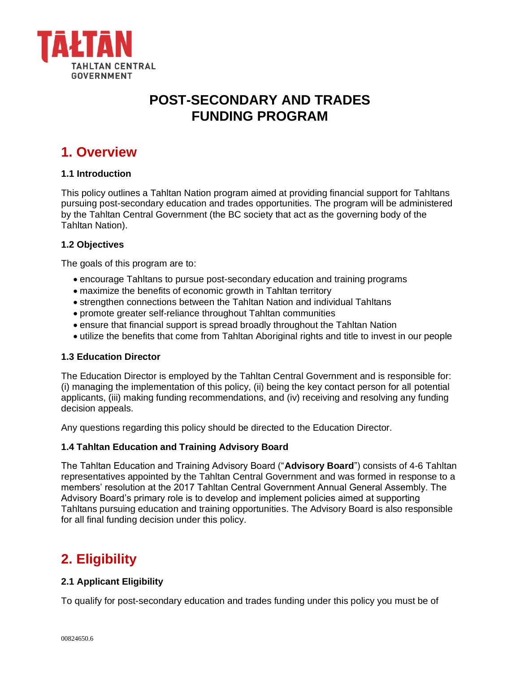

# **POST-SECONDARY AND TRADES FUNDING PROGRAM**

# **1. Overview**

### **1.1 Introduction**

This policy outlines a Tahltan Nation program aimed at providing financial support for Tahltans pursuing post-secondary education and trades opportunities. The program will be administered by the Tahltan Central Government (the BC society that act as the governing body of the Tahltan Nation).

### **1.2 Objectives**

The goals of this program are to:

- encourage Tahltans to pursue post-secondary education and training programs
- maximize the benefits of economic growth in Tahltan territory
- strengthen connections between the Tahltan Nation and individual Tahltans
- promote greater self-reliance throughout Tahltan communities
- ensure that financial support is spread broadly throughout the Tahltan Nation
- utilize the benefits that come from Tahltan Aboriginal rights and title to invest in our people

### **1.3 Education Director**

The Education Director is employed by the Tahltan Central Government and is responsible for: (i) managing the implementation of this policy, (ii) being the key contact person for all potential applicants, (iii) making funding recommendations, and (iv) receiving and resolving any funding decision appeals.

Any questions regarding this policy should be directed to the Education Director.

### **1.4 Tahltan Education and Training Advisory Board**

The Tahltan Education and Training Advisory Board ("**Advisory Board**") consists of 4-6 Tahltan representatives appointed by the Tahltan Central Government and was formed in response to a members' resolution at the 2017 Tahltan Central Government Annual General Assembly. The Advisory Board's primary role is to develop and implement policies aimed at supporting Tahltans pursuing education and training opportunities. The Advisory Board is also responsible for all final funding decision under this policy.

## **2. Eligibility**

### **2.1 Applicant Eligibility**

To qualify for post-secondary education and trades funding under this policy you must be of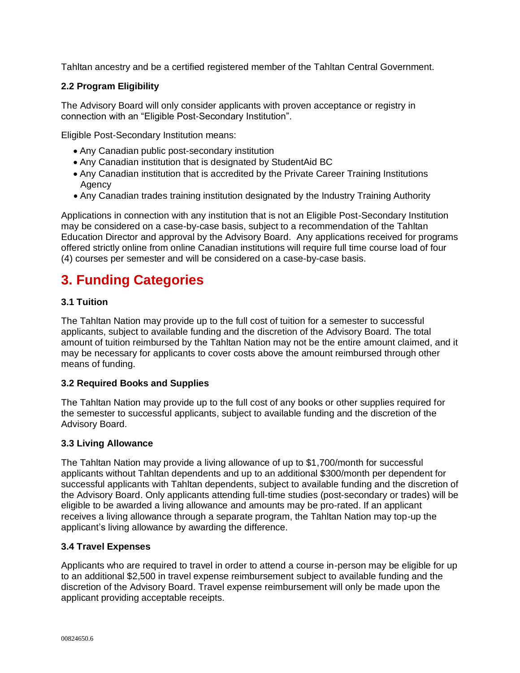Tahltan ancestry and be a certified registered member of the Tahltan Central Government.

## **2.2 Program Eligibility**

The Advisory Board will only consider applicants with proven acceptance or registry in connection with an "Eligible Post-Secondary Institution".

Eligible Post-Secondary Institution means:

- Any Canadian public post-secondary institution
- Any Canadian institution that is designated by StudentAid BC
- Any Canadian institution that is accredited by the Private Career Training Institutions **Agency**
- Any Canadian trades training institution designated by the Industry Training Authority

Applications in connection with any institution that is not an Eligible Post-Secondary Institution may be considered on a case-by-case basis, subject to a recommendation of the Tahltan Education Director and approval by the Advisory Board. Any applications received for programs offered strictly online from online Canadian institutions will require full time course load of four (4) courses per semester and will be considered on a case-by-case basis.

# **3. Funding Categories**

### **3.1 Tuition**

The Tahltan Nation may provide up to the full cost of tuition for a semester to successful applicants, subject to available funding and the discretion of the Advisory Board. The total amount of tuition reimbursed by the Tahltan Nation may not be the entire amount claimed, and it may be necessary for applicants to cover costs above the amount reimbursed through other means of funding.

### **3.2 Required Books and Supplies**

The Tahltan Nation may provide up to the full cost of any books or other supplies required for the semester to successful applicants, subject to available funding and the discretion of the Advisory Board.

### **3.3 Living Allowance**

The Tahltan Nation may provide a living allowance of up to \$1,700/month for successful applicants without Tahltan dependents and up to an additional \$300/month per dependent for successful applicants with Tahltan dependents, subject to available funding and the discretion of the Advisory Board. Only applicants attending full-time studies (post-secondary or trades) will be eligible to be awarded a living allowance and amounts may be pro-rated. If an applicant receives a living allowance through a separate program, the Tahltan Nation may top-up the applicant's living allowance by awarding the difference.

### **3.4 Travel Expenses**

Applicants who are required to travel in order to attend a course in-person may be eligible for up to an additional \$2,500 in travel expense reimbursement subject to available funding and the discretion of the Advisory Board. Travel expense reimbursement will only be made upon the applicant providing acceptable receipts.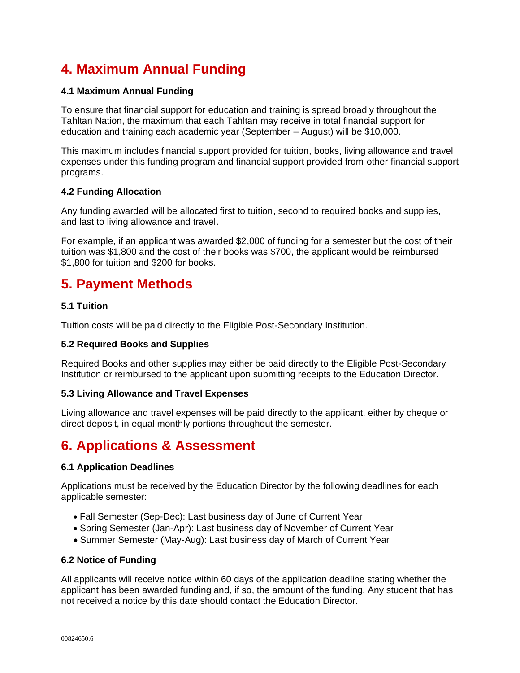# **4. Maximum Annual Funding**

## **4.1 Maximum Annual Funding**

To ensure that financial support for education and training is spread broadly throughout the Tahltan Nation, the maximum that each Tahltan may receive in total financial support for education and training each academic year (September – August) will be \$10,000.

This maximum includes financial support provided for tuition, books, living allowance and travel expenses under this funding program and financial support provided from other financial support programs.

### **4.2 Funding Allocation**

Any funding awarded will be allocated first to tuition, second to required books and supplies, and last to living allowance and travel.

For example, if an applicant was awarded \$2,000 of funding for a semester but the cost of their tuition was \$1,800 and the cost of their books was \$700, the applicant would be reimbursed \$1,800 for tuition and \$200 for books.

## **5. Payment Methods**

## **5.1 Tuition**

Tuition costs will be paid directly to the Eligible Post-Secondary Institution.

### **5.2 Required Books and Supplies**

Required Books and other supplies may either be paid directly to the Eligible Post-Secondary Institution or reimbursed to the applicant upon submitting receipts to the Education Director.

### **5.3 Living Allowance and Travel Expenses**

Living allowance and travel expenses will be paid directly to the applicant, either by cheque or direct deposit, in equal monthly portions throughout the semester.

# **6. Applications & Assessment**

### **6.1 Application Deadlines**

Applications must be received by the Education Director by the following deadlines for each applicable semester:

- Fall Semester (Sep-Dec): Last business day of June of Current Year
- Spring Semester (Jan-Apr): Last business day of November of Current Year
- Summer Semester (May-Aug): Last business day of March of Current Year

### **6.2 Notice of Funding**

All applicants will receive notice within 60 days of the application deadline stating whether the applicant has been awarded funding and, if so, the amount of the funding. Any student that has not received a notice by this date should contact the Education Director.